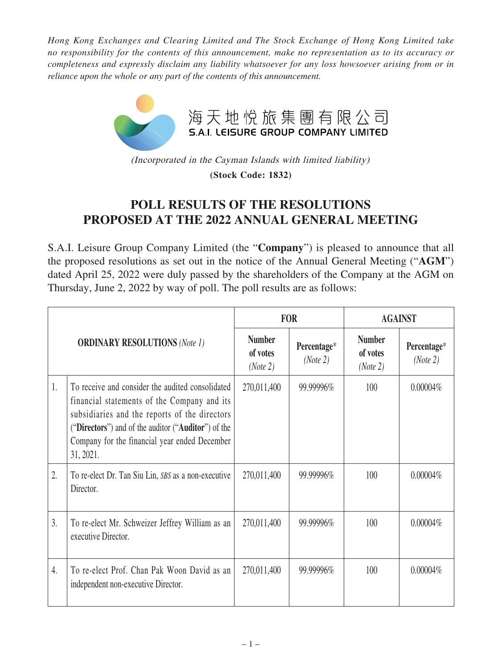*Hong Kong Exchanges and Clearing Limited and The Stock Exchange of Hong Kong Limited take no responsibility for the contents of this announcement, make no representation as to its accuracy or completeness and expressly disclaim any liability whatsoever for any loss howsoever arising from or in reliance upon the whole or any part of the contents of this announcement.*



(Incorporated in the Cayman Islands with limited liability) **(Stock Code: 1832)**

## **POLL RESULTS OF THE RESOLUTIONS PROPOSED AT THE 2022 ANNUAL GENERAL MEETING**

S.A.I. Leisure Group Company Limited (the "**Company**") is pleased to announce that all the proposed resolutions as set out in the notice of the Annual General Meeting ("**AGM**") dated April 25, 2022 were duly passed by the shareholders of the Company at the AGM on Thursday, June 2, 2022 by way of poll. The poll results are as follows:

| <b>ORDINARY RESOLUTIONS (Note 1)</b> |                                                                                                                                                                                                                                                                       | <b>FOR</b>                            |                         | <b>AGAINST</b>                        |                         |
|--------------------------------------|-----------------------------------------------------------------------------------------------------------------------------------------------------------------------------------------------------------------------------------------------------------------------|---------------------------------------|-------------------------|---------------------------------------|-------------------------|
|                                      |                                                                                                                                                                                                                                                                       | <b>Number</b><br>of votes<br>(Note 2) | Percentage*<br>(Note 2) | <b>Number</b><br>of votes<br>(Note 2) | Percentage*<br>(Note 2) |
| 1.                                   | To receive and consider the audited consolidated<br>financial statements of the Company and its<br>subsidiaries and the reports of the directors<br>("Directors") and of the auditor ("Auditor") of the<br>Company for the financial year ended December<br>31, 2021. | 270,011,400                           | 99.99996%               | 100                                   | $0.00004\%$             |
| 2.                                   | To re-elect Dr. Tan Siu Lin, SBS as a non-executive<br>Director.                                                                                                                                                                                                      | 270,011,400                           | 99.99996%               | 100                                   | $0.00004\%$             |
| 3.                                   | To re-elect Mr. Schweizer Jeffrey William as an<br>executive Director.                                                                                                                                                                                                | 270,011,400                           | 99.99996%               | 100                                   | $0.00004\%$             |
| 4.                                   | To re-elect Prof. Chan Pak Woon David as an<br>independent non-executive Director.                                                                                                                                                                                    | 270,011,400                           | 99.99996%               | 100                                   | $0.00004\%$             |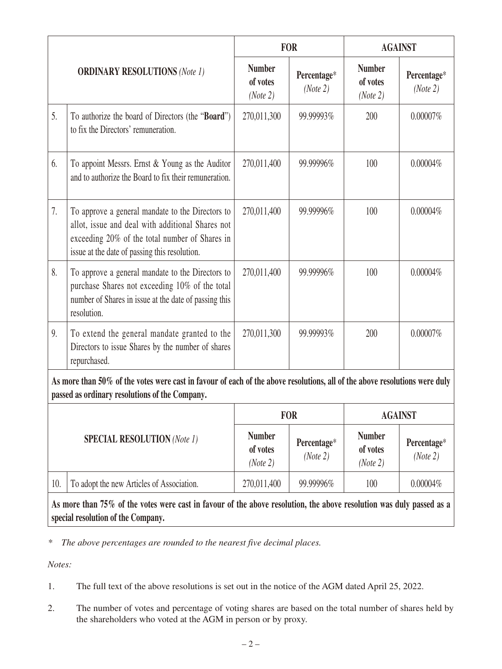| <b>ORDINARY RESOLUTIONS (Note 1)</b>                                                                                                                                         |                                                                                                                                                                                                         | <b>FOR</b>                            |                         | <b>AGAINST</b>                        |                         |  |  |
|------------------------------------------------------------------------------------------------------------------------------------------------------------------------------|---------------------------------------------------------------------------------------------------------------------------------------------------------------------------------------------------------|---------------------------------------|-------------------------|---------------------------------------|-------------------------|--|--|
|                                                                                                                                                                              |                                                                                                                                                                                                         | <b>Number</b><br>of votes<br>(Note 2) | Percentage*<br>(Note 2) | <b>Number</b><br>of votes<br>(Note 2) | Percentage*<br>(Note 2) |  |  |
| 5.                                                                                                                                                                           | To authorize the board of Directors (the "Board")<br>to fix the Directors' remuneration.                                                                                                                | 270,011,300                           | 99.99993%               | 200                                   | $0.00007\%$             |  |  |
| 6.                                                                                                                                                                           | To appoint Messrs. Ernst & Young as the Auditor<br>and to authorize the Board to fix their remuneration.                                                                                                | 270,011,400                           | 99.99996%               | 100                                   | $0.00004\%$             |  |  |
| 7.                                                                                                                                                                           | To approve a general mandate to the Directors to<br>allot, issue and deal with additional Shares not<br>exceeding 20% of the total number of Shares in<br>issue at the date of passing this resolution. | 270,011,400                           | 99.99996%               | 100                                   | $0.00004\%$             |  |  |
| 8.                                                                                                                                                                           | To approve a general mandate to the Directors to<br>purchase Shares not exceeding 10% of the total<br>number of Shares in issue at the date of passing this<br>resolution.                              | 270,011,400                           | 99.99996%               | 100                                   | $0.00004\%$             |  |  |
| 9.                                                                                                                                                                           | To extend the general mandate granted to the<br>Directors to issue Shares by the number of shares<br>repurchased.                                                                                       | 270,011,300                           | 99.99993%               | 200                                   | $0.00007\%$             |  |  |
| As more than 50% of the votes were cast in favour of each of the above resolutions, all of the above resolutions were duly<br>passed as ordinary resolutions of the Company. |                                                                                                                                                                                                         |                                       |                         |                                       |                         |  |  |
|                                                                                                                                                                              |                                                                                                                                                                                                         | <b>FOR</b><br><b>AGAINST</b>          |                         |                                       |                         |  |  |

| <b>SPECIAL RESOLUTION</b> (Note 1) |                                           | FOR                                   |                         | AGAINST                               |                         |
|------------------------------------|-------------------------------------------|---------------------------------------|-------------------------|---------------------------------------|-------------------------|
|                                    |                                           | <b>Number</b><br>of votes<br>(Note 2) | Percentage*<br>(Note 2) | <b>Number</b><br>of votes<br>(Note 2) | Percentage*<br>(Note 2) |
| 10.                                | To adopt the new Articles of Association. | 270,011,400                           | 99.99996%               | 100                                   | $0.00004\%$             |

**As more than 75% of the votes were cast in favour of the above resolution, the above resolution was duly passed as a special resolution of the Company.**

*\* The above percentages are rounded to the nearest five decimal places.*

*Notes:*

- 1. The full text of the above resolutions is set out in the notice of the AGM dated April 25, 2022.
- 2. The number of votes and percentage of voting shares are based on the total number of shares held by the shareholders who voted at the AGM in person or by proxy.